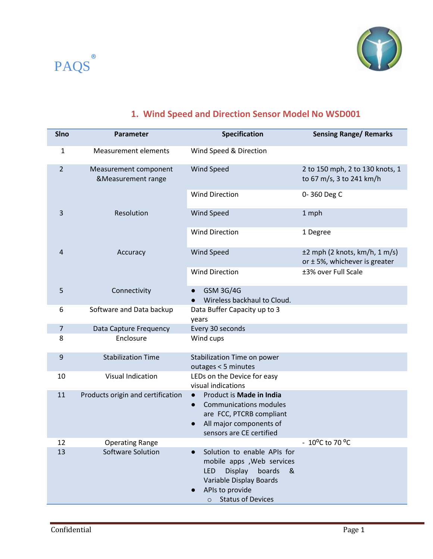



## **1. Wind Speed and Direction Sensor Model No WSD001**

| <b>SIno</b>    | <b>Parameter</b>                            | <b>Specification</b>                                                                                                                                                   | <b>Sensing Range/ Remarks</b>                                         |
|----------------|---------------------------------------------|------------------------------------------------------------------------------------------------------------------------------------------------------------------------|-----------------------------------------------------------------------|
| 1              | <b>Measurement elements</b>                 | Wind Speed & Direction                                                                                                                                                 |                                                                       |
| $\overline{2}$ | Measurement component<br>&Measurement range | <b>Wind Speed</b>                                                                                                                                                      | 2 to 150 mph, 2 to 130 knots, 1<br>to 67 m/s, 3 to 241 km/h           |
|                |                                             | <b>Wind Direction</b>                                                                                                                                                  | 0-360 Deg C                                                           |
| 3              | Resolution                                  | <b>Wind Speed</b>                                                                                                                                                      | 1 mph                                                                 |
|                |                                             | <b>Wind Direction</b>                                                                                                                                                  | 1 Degree                                                              |
| 4              | Accuracy                                    | <b>Wind Speed</b>                                                                                                                                                      | $\pm 2$ mph (2 knots, km/h, 1 m/s)<br>or $±$ 5%, whichever is greater |
|                |                                             | <b>Wind Direction</b>                                                                                                                                                  | ±3% over Full Scale                                                   |
| 5              | Connectivity                                | <b>GSM 3G/4G</b><br>$\bullet$<br>Wireless backhaul to Cloud.                                                                                                           |                                                                       |
| 6              | Software and Data backup                    | Data Buffer Capacity up to 3<br>years                                                                                                                                  |                                                                       |
| 7              | Data Capture Frequency                      | Every 30 seconds                                                                                                                                                       |                                                                       |
| 8              | Enclosure                                   | Wind cups                                                                                                                                                              |                                                                       |
| 9              | <b>Stabilization Time</b>                   | Stabilization Time on power<br>outages < 5 minutes                                                                                                                     |                                                                       |
| 10             | <b>Visual Indication</b>                    | LEDs on the Device for easy<br>visual indications                                                                                                                      |                                                                       |
| 11             | Products origin and certification           | Product is Made in India<br>$\bullet$<br><b>Communications modules</b><br>$\bullet$<br>are FCC, PTCRB compliant<br>All major components of<br>sensors are CE certified |                                                                       |
| 12             | <b>Operating Range</b>                      |                                                                                                                                                                        | $-10^{\circ}$ C to 70 $^{\circ}$ C                                    |
| 13             | Software Solution                           | Solution to enable APIs for<br>mobile apps , Web services<br><b>Display</b><br>boards<br>LED<br>&<br>Variable Display Boards<br>APIs to provide<br>o Status of Devices |                                                                       |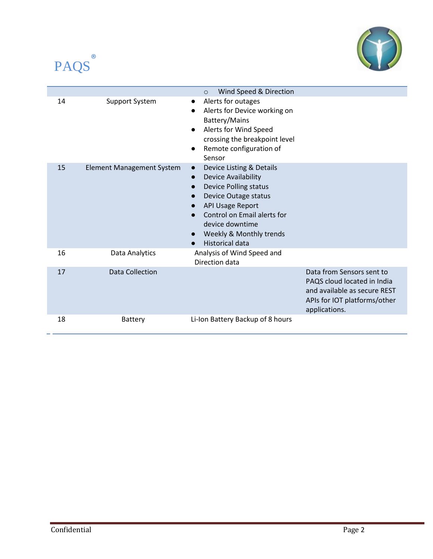



|    |                                  | Wind Speed & Direction<br>$\circ$                                                                                                                                                                                                                                          |                                                                                                                                           |
|----|----------------------------------|----------------------------------------------------------------------------------------------------------------------------------------------------------------------------------------------------------------------------------------------------------------------------|-------------------------------------------------------------------------------------------------------------------------------------------|
| 14 | Support System                   | Alerts for outages<br>Alerts for Device working on<br>Battery/Mains<br>Alerts for Wind Speed<br>crossing the breakpoint level<br>Remote configuration of<br>Sensor                                                                                                         |                                                                                                                                           |
| 15 | <b>Element Management System</b> | Device Listing & Details<br>$\bullet$<br><b>Device Availability</b><br>$\bullet$<br><b>Device Polling status</b><br>Device Outage status<br><b>API Usage Report</b><br>Control on Email alerts for<br>device downtime<br>Weekly & Monthly trends<br><b>Historical data</b> |                                                                                                                                           |
| 16 | Data Analytics                   | Analysis of Wind Speed and<br>Direction data                                                                                                                                                                                                                               |                                                                                                                                           |
| 17 | <b>Data Collection</b>           |                                                                                                                                                                                                                                                                            | Data from Sensors sent to<br>PAQS cloud located in India<br>and available as secure REST<br>APIs for IOT platforms/other<br>applications. |
| 18 | <b>Battery</b>                   | Li-Ion Battery Backup of 8 hours                                                                                                                                                                                                                                           |                                                                                                                                           |